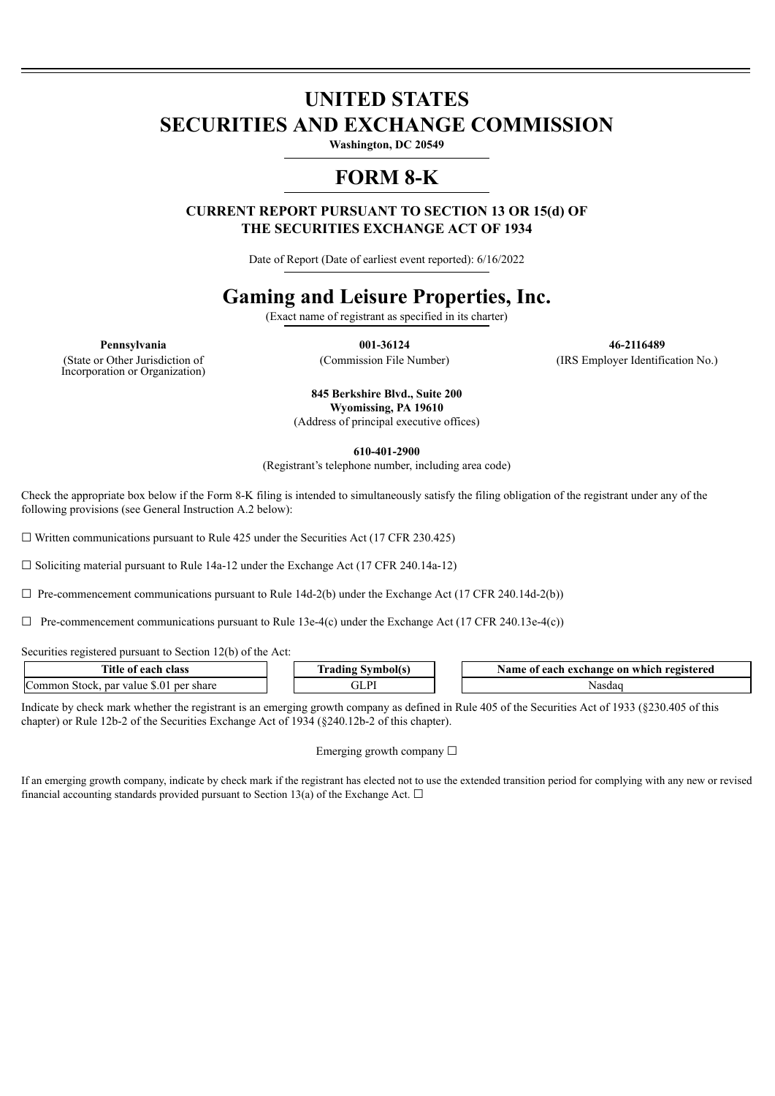# **UNITED STATES SECURITIES AND EXCHANGE COMMISSION**

**Washington, DC 20549**

### **FORM 8-K**

**CURRENT REPORT PURSUANT TO SECTION 13 OR 15(d) OF THE SECURITIES EXCHANGE ACT OF 1934**

Date of Report (Date of earliest event reported): 6/16/2022

## **Gaming and Leisure Properties, Inc.**

(Exact name of registrant as specified in its charter)

(State or Other Jurisdiction of Incorporation or Organization)

**Pennsylvania 001-36124 46-2116489** (Commission File Number) (IRS Employer Identification No.)

> **845 Berkshire Blvd., Suite 200 Wyomissing, PA 19610** (Address of principal executive offices)

> > **610-401-2900**

(Registrant's telephone number, including area code)

Check the appropriate box below if the Form 8-K filing is intended to simultaneously satisfy the filing obligation of the registrant under any of the following provisions (see General Instruction A.2 below):

 $\Box$  Written communications pursuant to Rule 425 under the Securities Act (17 CFR 230.425)

 $\Box$  Soliciting material pursuant to Rule 14a-12 under the Exchange Act (17 CFR 240.14a-12)

 $\Box$  Pre-commencement communications pursuant to Rule 14d-2(b) under the Exchange Act (17 CFR 240.14d-2(b))

 $\Box$  Pre-commencement communications pursuant to Rule 13e-4(c) under the Exchange Act (17 CFR 240.13e-4(c))

Securities registered pursuant to Section 12(b) of the Act:

| Title<br>. each<br>class<br>-01                                     | .<br>aain | registered<br>Name of<br>exchange<br>each<br>. which<br>on |
|---------------------------------------------------------------------|-----------|------------------------------------------------------------|
| $\sqrt{ }$<br>.s.O'<br>omm<br>par<br>share<br>stock<br>value<br>per | D<br>uli  | 'Nasdac                                                    |

Indicate by check mark whether the registrant is an emerging growth company as defined in Rule 405 of the Securities Act of 1933 (§230.405 of this chapter) or Rule 12b-2 of the Securities Exchange Act of 1934 (§240.12b-2 of this chapter).

#### Emerging growth company  $\Box$

If an emerging growth company, indicate by check mark if the registrant has elected not to use the extended transition period for complying with any new or revised financial accounting standards provided pursuant to Section 13(a) of the Exchange Act.  $\Box$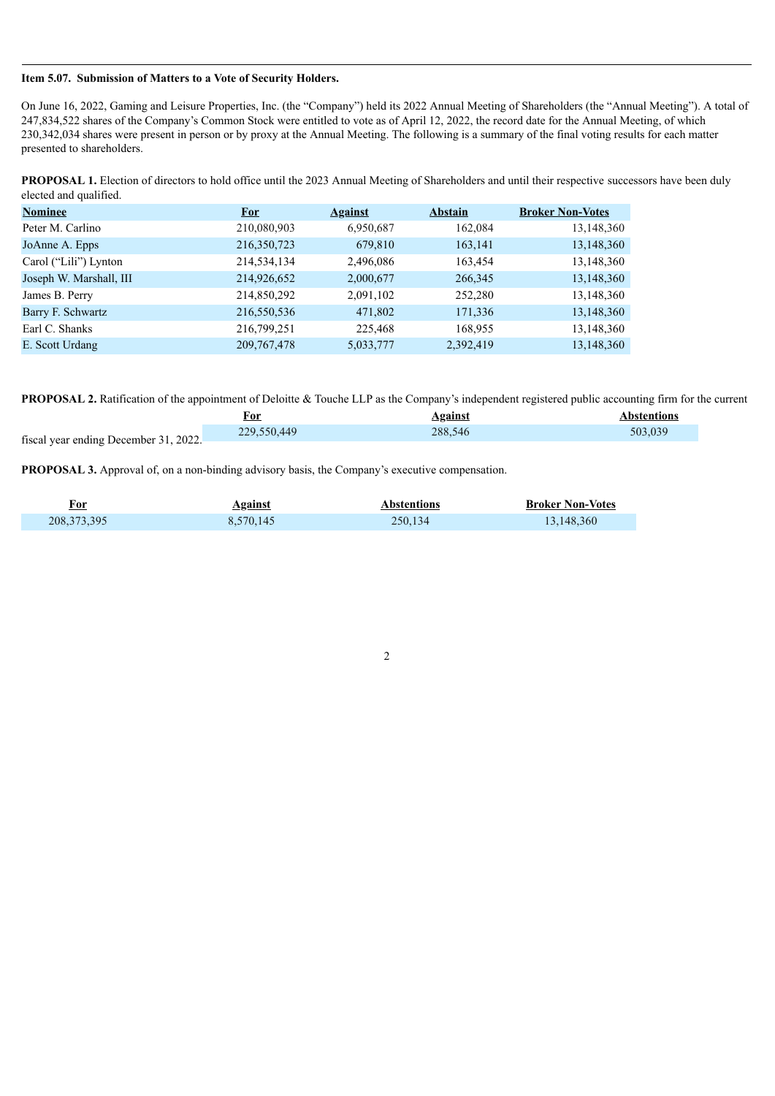#### **Item 5.07. Submission of Matters to a Vote of Security Holders.**

On June 16, 2022, Gaming and Leisure Properties, Inc. (the "Company") held its 2022 Annual Meeting of Shareholders (the "Annual Meeting"). A total of 247,834,522 shares of the Company's Common Stock were entitled to vote as of April 12, 2022, the record date for the Annual Meeting, of which 230,342,034 shares were present in person or by proxy at the Annual Meeting. The following is a summary of the final voting results for each matter presented to shareholders.

**PROPOSAL 1.** Election of directors to hold office until the 2023 Annual Meeting of Shareholders and until their respective successors have been duly elected and qualified.

| <b>Nominee</b>          | <b>For</b>    | <b>Against</b> | <b>Abstain</b> | <b>Broker Non-Votes</b> |
|-------------------------|---------------|----------------|----------------|-------------------------|
| Peter M. Carlino        | 210,080,903   | 6,950,687      | 162,084        | 13,148,360              |
| JoAnne A. Epps          | 216,350,723   | 679,810        | 163,141        | 13,148,360              |
| Carol ("Lili") Lynton   | 214,534,134   | 2,496,086      | 163,454        | 13,148,360              |
| Joseph W. Marshall, III | 214,926,652   | 2,000,677      | 266,345        | 13,148,360              |
| James B. Perry          | 214,850,292   | 2,091,102      | 252,280        | 13,148,360              |
| Barry F. Schwartz       | 216,550,536   | 471,802        | 171,336        | 13,148,360              |
| Earl C. Shanks          | 216,799,251   | 225,468        | 168,955        | 13,148,360              |
| E. Scott Urdang         | 209, 767, 478 | 5,033,777      | 2,392,419      | 13,148,360              |

**PROPOSAL 2.** Ratification of the appointment of Deloitte & Touche LLP as the Company's independent registered public accounting firm for the current

|                                       | For         | <b>Against</b> | Abstentions |
|---------------------------------------|-------------|----------------|-------------|
| fiscal year ending December 31, 2022. | 229,550,449 | 288.546        | 503.039     |
|                                       |             |                |             |

**PROPOSAL 3.** Approval of, on a non-binding advisory basis, the Company's executive compensation.

| <u>For</u>    | <b>Against</b> | <b>Abstentions</b> | <b>Broker Non-Votes</b> |
|---------------|----------------|--------------------|-------------------------|
| 208, 373, 395 | 8,570,145      | 250,134            | 13,148,360              |

2